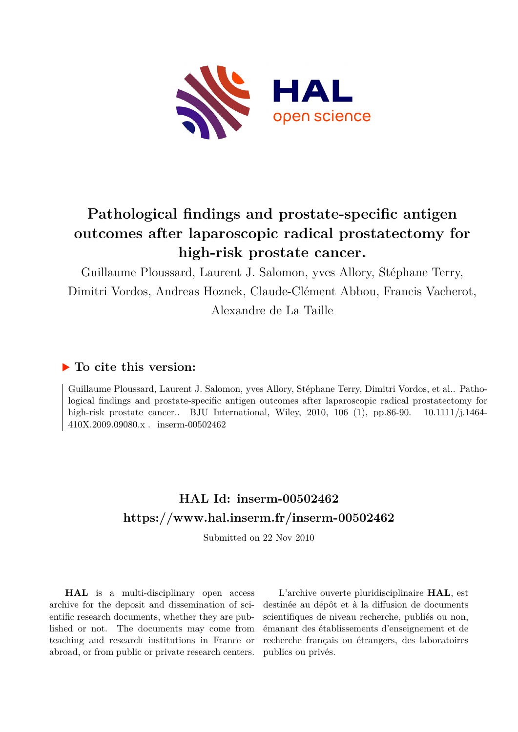

# **Pathological findings and prostate-specific antigen outcomes after laparoscopic radical prostatectomy for high-risk prostate cancer.**

Guillaume Ploussard, Laurent J. Salomon, yves Allory, Stéphane Terry, Dimitri Vordos, Andreas Hoznek, Claude-Clément Abbou, Francis Vacherot, Alexandre de La Taille

### **To cite this version:**

Guillaume Ploussard, Laurent J. Salomon, yves Allory, Stéphane Terry, Dimitri Vordos, et al.. Pathological findings and prostate-specific antigen outcomes after laparoscopic radical prostatectomy for high-risk prostate cancer.. BJU International, Wiley, 2010, 106 (1), pp.86-90. 10.1111/j.1464- $410X.2009.09080.x$ . inserm-00502462

## **HAL Id: inserm-00502462 <https://www.hal.inserm.fr/inserm-00502462>**

Submitted on 22 Nov 2010

**HAL** is a multi-disciplinary open access archive for the deposit and dissemination of scientific research documents, whether they are published or not. The documents may come from teaching and research institutions in France or abroad, or from public or private research centers.

L'archive ouverte pluridisciplinaire **HAL**, est destinée au dépôt et à la diffusion de documents scientifiques de niveau recherche, publiés ou non, émanant des établissements d'enseignement et de recherche français ou étrangers, des laboratoires publics ou privés.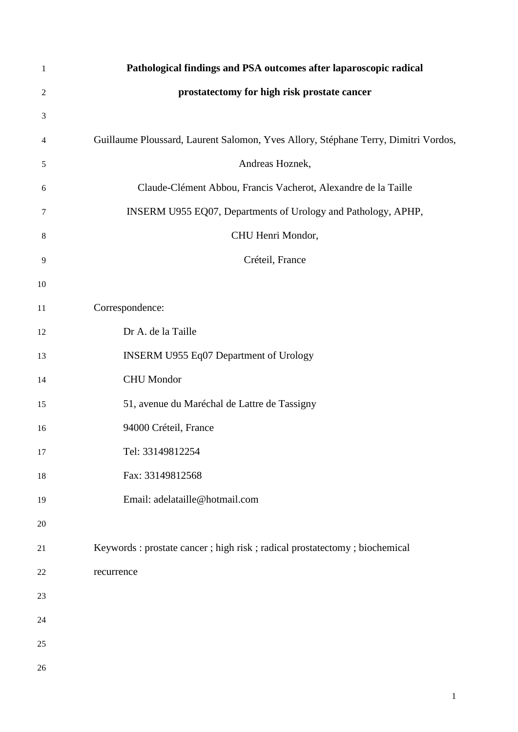| 1              | Pathological findings and PSA outcomes after laparoscopic radical                  |
|----------------|------------------------------------------------------------------------------------|
| $\overline{2}$ | prostatectomy for high risk prostate cancer                                        |
| 3              |                                                                                    |
| 4              | Guillaume Ploussard, Laurent Salomon, Yves Allory, Stéphane Terry, Dimitri Vordos, |
| 5              | Andreas Hoznek,                                                                    |
| 6              | Claude-Clément Abbou, Francis Vacherot, Alexandre de la Taille                     |
| 7              | INSERM U955 EQ07, Departments of Urology and Pathology, APHP,                      |
| 8              | CHU Henri Mondor,                                                                  |
| 9              | Créteil, France                                                                    |
| 10             |                                                                                    |
| $11\,$         | Correspondence:                                                                    |
| 12             | Dr A. de la Taille                                                                 |
| 13             | INSERM U955 Eq07 Department of Urology                                             |
| 14             | <b>CHU</b> Mondor                                                                  |
| 15             | 51, avenue du Maréchal de Lattre de Tassigny                                       |
| 16             | 94000 Créteil, France                                                              |
| 17             | Tel: 33149812254                                                                   |
| 18             | Fax: 33149812568                                                                   |
| 19             | Email: adelataille@hotmail.com                                                     |
| 20             |                                                                                    |
| 21             | Keywords : prostate cancer ; high risk ; radical prostatectomy ; biochemical       |
| $22\,$         | recurrence                                                                         |
| 23             |                                                                                    |
| 24             |                                                                                    |
| 25             |                                                                                    |
| 26             |                                                                                    |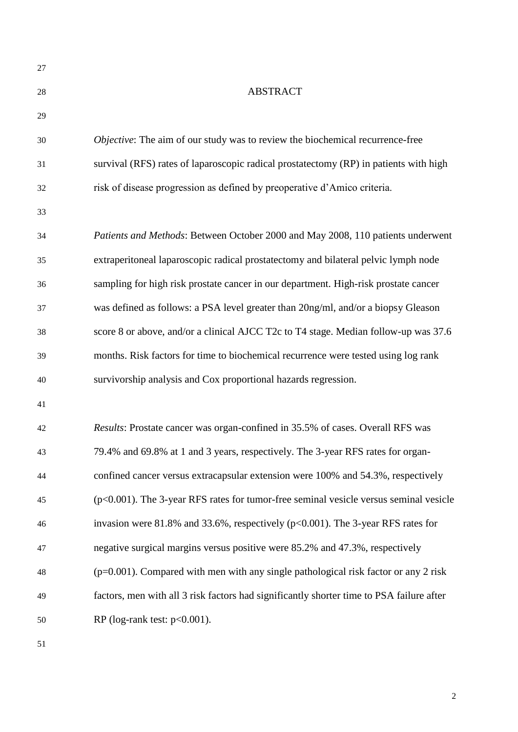| 27 |                                                                                          |
|----|------------------------------------------------------------------------------------------|
| 28 | <b>ABSTRACT</b>                                                                          |
| 29 |                                                                                          |
| 30 | Objective: The aim of our study was to review the biochemical recurrence-free            |
| 31 | survival (RFS) rates of laparoscopic radical prostatectomy (RP) in patients with high    |
| 32 | risk of disease progression as defined by preoperative d'Amico criteria.                 |
| 33 |                                                                                          |
| 34 | Patients and Methods: Between October 2000 and May 2008, 110 patients underwent          |
| 35 | extraperitoneal laparoscopic radical prostatectomy and bilateral pelvic lymph node       |
| 36 | sampling for high risk prostate cancer in our department. High-risk prostate cancer      |
| 37 | was defined as follows: a PSA level greater than 20ng/ml, and/or a biopsy Gleason        |
| 38 | score 8 or above, and/or a clinical AJCC T2c to T4 stage. Median follow-up was 37.6      |
| 39 | months. Risk factors for time to biochemical recurrence were tested using log rank       |
| 40 | survivorship analysis and Cox proportional hazards regression.                           |
| 41 |                                                                                          |
| 42 | Results: Prostate cancer was organ-confined in 35.5% of cases. Overall RFS was           |
| 43 | 79.4% and 69.8% at 1 and 3 years, respectively. The 3-year RFS rates for organ-          |
| 44 | confined cancer versus extracapsular extension were 100% and 54.3%, respectively         |
| 45 | (p<0.001). The 3-year RFS rates for tumor-free seminal vesicle versus seminal vesicle    |
| 46 | invasion were 81.8% and 33.6%, respectively ( $p<0.001$ ). The 3-year RFS rates for      |
| 47 | negative surgical margins versus positive were 85.2% and 47.3%, respectively             |
| 48 | $(p=0.001)$ . Compared with men with any single pathological risk factor or any 2 risk   |
| 49 | factors, men with all 3 risk factors had significantly shorter time to PSA failure after |
| 50 | RP (log-rank test: $p<0.001$ ).                                                          |
|    |                                                                                          |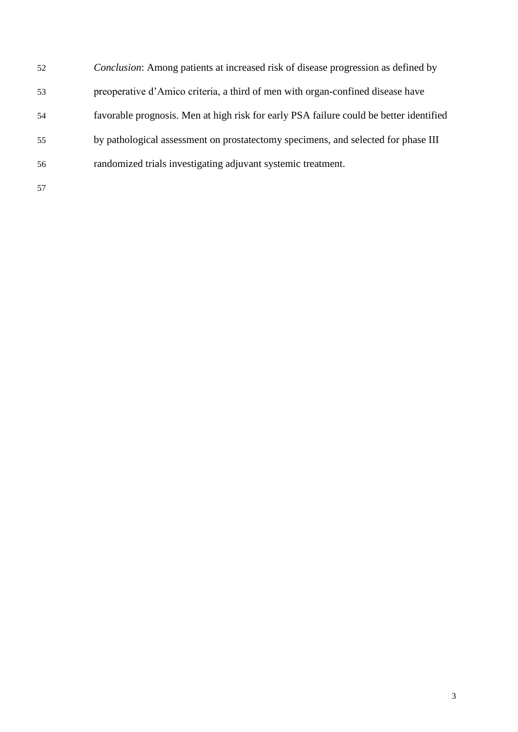*Conclusion*: Among patients at increased risk of disease progression as defined by preoperative d'Amico criteria, a third of men with organ-confined disease have favorable prognosis. Men at high risk for early PSA failure could be better identified by pathological assessment on prostatectomy specimens, and selected for phase III randomized trials investigating adjuvant systemic treatment.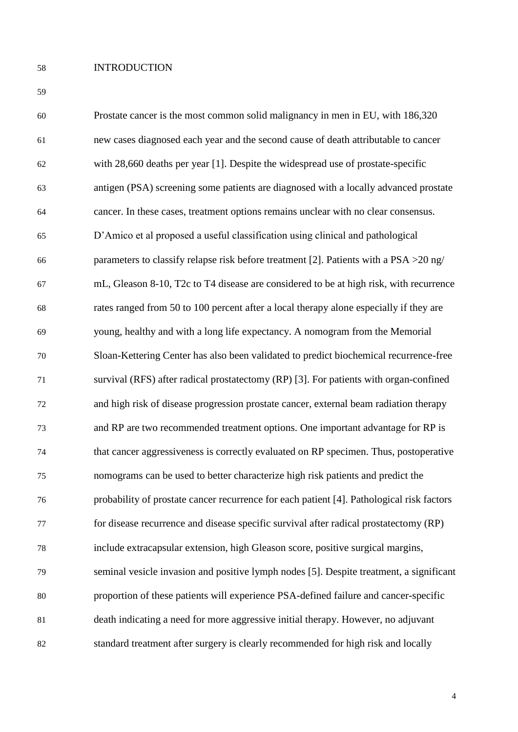#### INTRODUCTION

| 60 | Prostate cancer is the most common solid malignancy in men in EU, with 186,320            |
|----|-------------------------------------------------------------------------------------------|
| 61 | new cases diagnosed each year and the second cause of death attributable to cancer        |
| 62 | with 28,660 deaths per year [1]. Despite the widespread use of prostate-specific          |
| 63 | antigen (PSA) screening some patients are diagnosed with a locally advanced prostate      |
| 64 | cancer. In these cases, treatment options remains unclear with no clear consensus.        |
| 65 | D'Amico et al proposed a useful classification using clinical and pathological            |
| 66 | parameters to classify relapse risk before treatment [2]. Patients with a $PSA > 20$ ng/  |
| 67 | mL, Gleason 8-10, T2c to T4 disease are considered to be at high risk, with recurrence    |
| 68 | rates ranged from 50 to 100 percent after a local therapy alone especially if they are    |
| 69 | young, healthy and with a long life expectancy. A nomogram from the Memorial              |
| 70 | Sloan-Kettering Center has also been validated to predict biochemical recurrence-free     |
| 71 | survival (RFS) after radical prostatectomy (RP) [3]. For patients with organ-confined     |
| 72 | and high risk of disease progression prostate cancer, external beam radiation therapy     |
| 73 | and RP are two recommended treatment options. One important advantage for RP is           |
| 74 | that cancer aggressiveness is correctly evaluated on RP specimen. Thus, postoperative     |
| 75 | nomograms can be used to better characterize high risk patients and predict the           |
| 76 | probability of prostate cancer recurrence for each patient [4]. Pathological risk factors |
| 77 | for disease recurrence and disease specific survival after radical prostatectomy (RP)     |
| 78 | include extracapsular extension, high Gleason score, positive surgical margins,           |
| 79 | seminal vesicle invasion and positive lymph nodes [5]. Despite treatment, a significant   |
| 80 | proportion of these patients will experience PSA-defined failure and cancer-specific      |
| 81 | death indicating a need for more aggressive initial therapy. However, no adjuvant         |
| 82 | standard treatment after surgery is clearly recommended for high risk and locally         |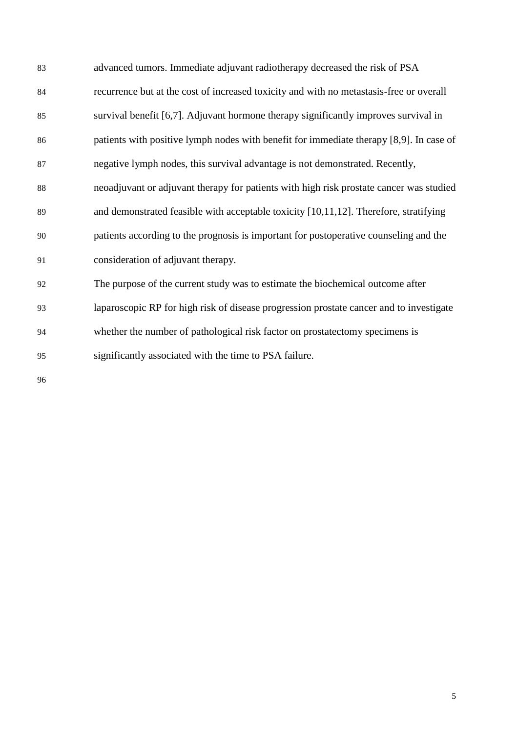| 83     | advanced tumors. Immediate adjuvant radiotherapy decreased the risk of PSA              |
|--------|-----------------------------------------------------------------------------------------|
| 84     | recurrence but at the cost of increased toxicity and with no metastasis-free or overall |
| 85     | survival benefit [6,7]. Adjuvant hormone therapy significantly improves survival in     |
| 86     | patients with positive lymph nodes with benefit for immediate therapy [8,9]. In case of |
| 87     | negative lymph nodes, this survival advantage is not demonstrated. Recently,            |
| 88     | neoadjuvant or adjuvant therapy for patients with high risk prostate cancer was studied |
| 89     | and demonstrated feasible with acceptable toxicity [10,11,12]. Therefore, stratifying   |
| 90     | patients according to the prognosis is important for postoperative counseling and the   |
| 91     | consideration of adjuvant therapy.                                                      |
| 92     | The purpose of the current study was to estimate the biochemical outcome after          |
| 93     | laparoscopic RP for high risk of disease progression prostate cancer and to investigate |
| 94     | whether the number of pathological risk factor on prostatectomy specimens is            |
| 95     | significantly associated with the time to PSA failure.                                  |
| $\sim$ |                                                                                         |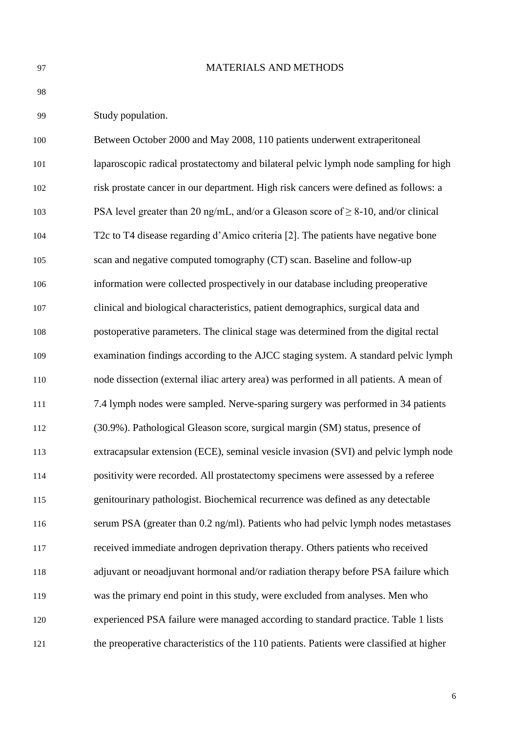#### MATERIALS AND METHODS

Study population.

| 100 | Between October 2000 and May 2008, 110 patients underwent extraperitoneal                |
|-----|------------------------------------------------------------------------------------------|
| 101 | laparoscopic radical prostatectomy and bilateral pelvic lymph node sampling for high     |
| 102 | risk prostate cancer in our department. High risk cancers were defined as follows: a     |
| 103 | PSA level greater than 20 ng/mL, and/or a Gleason score of $\geq$ 8-10, and/or clinical  |
| 104 | T2c to T4 disease regarding d'Amico criteria [2]. The patients have negative bone        |
| 105 | scan and negative computed tomography (CT) scan. Baseline and follow-up                  |
| 106 | information were collected prospectively in our database including preoperative          |
| 107 | clinical and biological characteristics, patient demographics, surgical data and         |
| 108 | postoperative parameters. The clinical stage was determined from the digital rectal      |
| 109 | examination findings according to the AJCC staging system. A standard pelvic lymph       |
| 110 | node dissection (external iliac artery area) was performed in all patients. A mean of    |
| 111 | 7.4 lymph nodes were sampled. Nerve-sparing surgery was performed in 34 patients         |
| 112 | (30.9%). Pathological Gleason score, surgical margin (SM) status, presence of            |
| 113 | extracapsular extension (ECE), seminal vesicle invasion (SVI) and pelvic lymph node      |
| 114 | positivity were recorded. All prostatectomy specimens were assessed by a referee         |
| 115 | genitourinary pathologist. Biochemical recurrence was defined as any detectable          |
| 116 | serum PSA (greater than 0.2 ng/ml). Patients who had pelvic lymph nodes metastases       |
| 117 | received immediate androgen deprivation therapy. Others patients who received            |
| 118 | adjuvant or neoadjuvant hormonal and/or radiation therapy before PSA failure which       |
| 119 | was the primary end point in this study, were excluded from analyses. Men who            |
| 120 | experienced PSA failure were managed according to standard practice. Table 1 lists       |
| 121 | the preoperative characteristics of the 110 patients. Patients were classified at higher |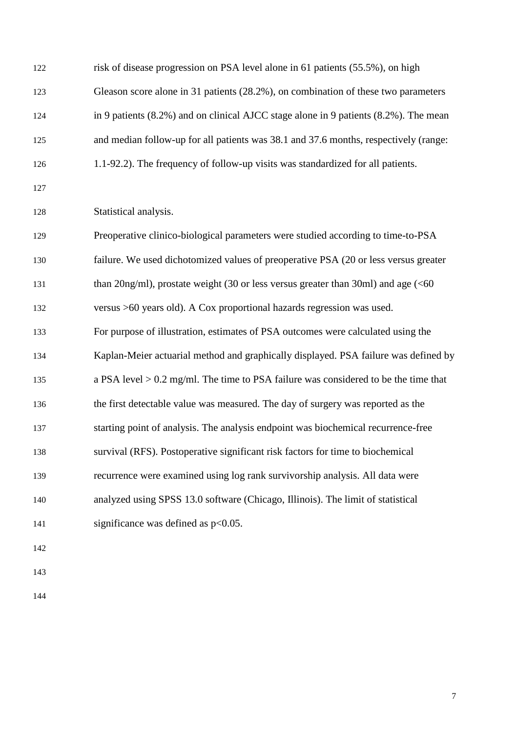| 122 | risk of disease progression on PSA level alone in 61 patients (55.5%), on high              |
|-----|---------------------------------------------------------------------------------------------|
| 123 | Gleason score alone in 31 patients (28.2%), on combination of these two parameters          |
| 124 | in 9 patients $(8.2\%)$ and on clinical AJCC stage alone in 9 patients $(8.2\%)$ . The mean |
| 125 | and median follow-up for all patients was 38.1 and 37.6 months, respectively (range:        |
| 126 | 1.1-92.2). The frequency of follow-up visits was standardized for all patients.             |
| 127 |                                                                                             |
| 128 | Statistical analysis.                                                                       |
| 129 | Preoperative clinico-biological parameters were studied according to time-to-PSA            |
| 130 | failure. We used dichotomized values of preoperative PSA (20 or less versus greater         |
| 131 | than 20ng/ml), prostate weight (30 or less versus greater than 30ml) and age $(60$          |
| 132 | versus >60 years old). A Cox proportional hazards regression was used.                      |
| 133 | For purpose of illustration, estimates of PSA outcomes were calculated using the            |
| 134 | Kaplan-Meier actuarial method and graphically displayed. PSA failure was defined by         |
| 135 | a PSA level $> 0.2$ mg/ml. The time to PSA failure was considered to be the time that       |
| 136 | the first detectable value was measured. The day of surgery was reported as the             |
| 137 | starting point of analysis. The analysis endpoint was biochemical recurrence-free           |
| 138 | survival (RFS). Postoperative significant risk factors for time to biochemical              |
| 139 | recurrence were examined using log rank survivorship analysis. All data were                |
| 140 | analyzed using SPSS 13.0 software (Chicago, Illinois). The limit of statistical             |
| 141 | significance was defined as $p<0.05$ .                                                      |
| 142 |                                                                                             |
| 143 |                                                                                             |
|     |                                                                                             |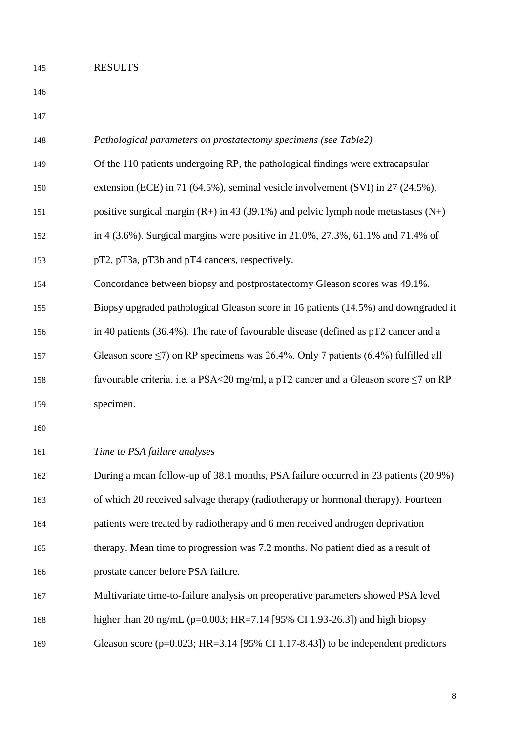### RESULTS

| 147 |                                                                                               |
|-----|-----------------------------------------------------------------------------------------------|
| 148 | Pathological parameters on prostatectomy specimens (see Table2)                               |
| 149 | Of the 110 patients undergoing RP, the pathological findings were extracapsular               |
| 150 | extension (ECE) in 71 (64.5%), seminal vesicle involvement (SVI) in 27 (24.5%),               |
| 151 | positive surgical margin $(R+)$ in 43 (39.1%) and pelvic lymph node metastases $(N+)$         |
| 152 | in 4 (3.6%). Surgical margins were positive in $21.0\%$ , $27.3\%$ , $61.1\%$ and $71.4\%$ of |
| 153 | pT2, pT3a, pT3b and pT4 cancers, respectively.                                                |
| 154 | Concordance between biopsy and postprostatectomy Gleason scores was 49.1%.                    |
| 155 | Biopsy upgraded pathological Gleason score in 16 patients (14.5%) and downgraded it           |
| 156 | in 40 patients (36.4%). The rate of favourable disease (defined as pT2 cancer and a           |
| 157 | Gleason score $\leq$ 7) on RP specimens was 26.4%. Only 7 patients (6.4%) fulfilled all       |
| 158 | favourable criteria, i.e. a PSA<20 mg/ml, a pT2 cancer and a Gleason score $\leq$ 7 on RP     |
| 159 | specimen.                                                                                     |
| 160 |                                                                                               |
| 161 | Time to PSA failure analyses                                                                  |
| 162 | During a mean follow-up of 38.1 months, PSA failure occurred in 23 patients (20.9%)           |
| 163 | of which 20 received salvage therapy (radiotherapy or hormonal therapy). Fourteen             |
| 164 | patients were treated by radiotherapy and 6 men received androgen deprivation                 |
| 165 | therapy. Mean time to progression was 7.2 months. No patient died as a result of              |
| 166 | prostate cancer before PSA failure.                                                           |
| 167 | Multivariate time-to-failure analysis on preoperative parameters showed PSA level             |
| 168 | higher than 20 ng/mL ( $p=0.003$ ; HR=7.14 [95% CI 1.93-26.3]) and high biopsy                |
| 169 | Gleason score ( $p=0.023$ ; HR=3.14 [95% CI 1.17-8.43]) to be independent predictors          |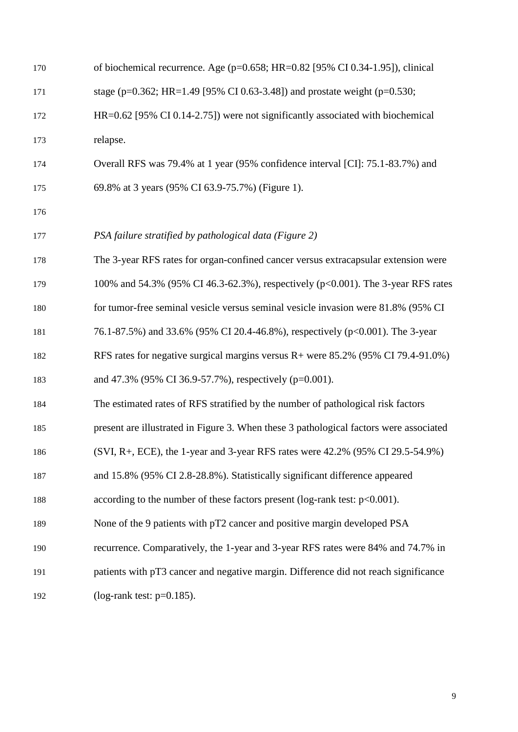| 170 | of biochemical recurrence. Age ( $p=0.658$ ; HR= $0.82$ [95% CI 0.34-1.95]), clinical  |
|-----|----------------------------------------------------------------------------------------|
| 171 | stage (p=0.362; HR=1.49 [95% CI 0.63-3.48]) and prostate weight (p=0.530;              |
| 172 | HR=0.62 [95% CI 0.14-2.75]) were not significantly associated with biochemical         |
| 173 | relapse.                                                                               |
| 174 | Overall RFS was 79.4% at 1 year (95% confidence interval [CI]: 75.1-83.7%) and         |
| 175 | 69.8% at 3 years (95% CI 63.9-75.7%) (Figure 1).                                       |
| 176 |                                                                                        |
| 177 | PSA failure stratified by pathological data (Figure 2)                                 |
| 178 | The 3-year RFS rates for organ-confined cancer versus extracapsular extension were     |
| 179 | 100% and 54.3% (95% CI 46.3-62.3%), respectively (p<0.001). The 3-year RFS rates       |
| 180 | for tumor-free seminal vesicle versus seminal vesicle invasion were 81.8% (95% CI      |
| 181 | 76.1-87.5%) and 33.6% (95% CI 20.4-46.8%), respectively (p<0.001). The 3-year          |
| 182 | RFS rates for negative surgical margins versus R+ were 85.2% (95% CI 79.4-91.0%)       |
| 183 | and 47.3% (95% CI 36.9-57.7%), respectively (p=0.001).                                 |
| 184 | The estimated rates of RFS stratified by the number of pathological risk factors       |
| 185 | present are illustrated in Figure 3. When these 3 pathological factors were associated |
| 186 | (SVI, R+, ECE), the 1-year and 3-year RFS rates were 42.2% (95% CI 29.5-54.9%)         |
| 187 | and 15.8% (95% CI 2.8-28.8%). Statistically significant difference appeared            |
| 188 | according to the number of these factors present (log-rank test: $p<0.001$ ).          |
| 189 | None of the 9 patients with pT2 cancer and positive margin developed PSA               |
| 190 | recurrence. Comparatively, the 1-year and 3-year RFS rates were 84% and 74.7% in       |
| 191 | patients with pT3 cancer and negative margin. Difference did not reach significance    |
| 192 | (log-rank test: $p=0.185$ ).                                                           |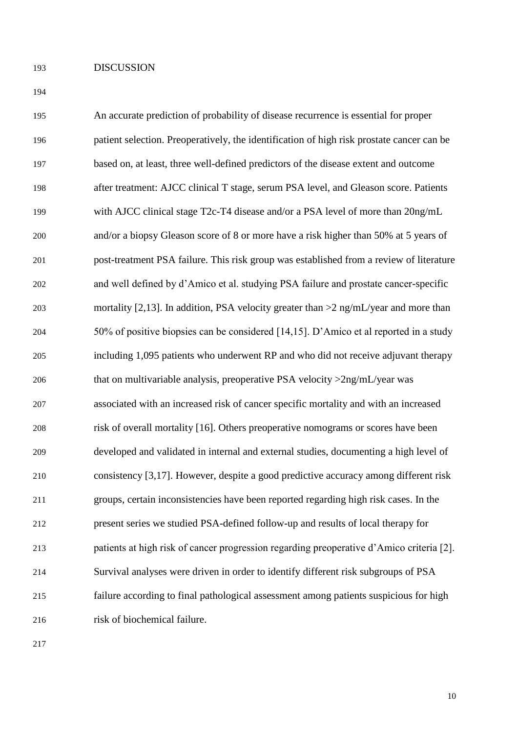### DISCUSSION

| 195 | An accurate prediction of probability of disease recurrence is essential for proper       |
|-----|-------------------------------------------------------------------------------------------|
| 196 | patient selection. Preoperatively, the identification of high risk prostate cancer can be |
| 197 | based on, at least, three well-defined predictors of the disease extent and outcome       |
| 198 | after treatment: AJCC clinical T stage, serum PSA level, and Gleason score. Patients      |
| 199 | with AJCC clinical stage T2c-T4 disease and/or a PSA level of more than 20ng/mL           |
| 200 | and/or a biopsy Gleason score of 8 or more have a risk higher than 50% at 5 years of      |
| 201 | post-treatment PSA failure. This risk group was established from a review of literature   |
| 202 | and well defined by d'Amico et al. studying PSA failure and prostate cancer-specific      |
| 203 | mortality [2,13]. In addition, PSA velocity greater than $>2$ ng/mL/year and more than    |
| 204 | 50% of positive biopsies can be considered [14,15]. D'Amico et al reported in a study     |
| 205 | including 1,095 patients who underwent RP and who did not receive adjuvant therapy        |
| 206 | that on multivariable analysis, preoperative PSA velocity $>2$ ng/mL/year was             |
| 207 | associated with an increased risk of cancer specific mortality and with an increased      |
| 208 | risk of overall mortality [16]. Others preoperative nomograms or scores have been         |
| 209 | developed and validated in internal and external studies, documenting a high level of     |
| 210 | consistency [3,17]. However, despite a good predictive accuracy among different risk      |
| 211 | groups, certain inconsistencies have been reported regarding high risk cases. In the      |
| 212 | present series we studied PSA-defined follow-up and results of local therapy for          |
| 213 | patients at high risk of cancer progression regarding preoperative d'Amico criteria [2].  |
| 214 | Survival analyses were driven in order to identify different risk subgroups of PSA        |
| 215 | failure according to final pathological assessment among patients suspicious for high     |
| 216 | risk of biochemical failure.                                                              |
|     |                                                                                           |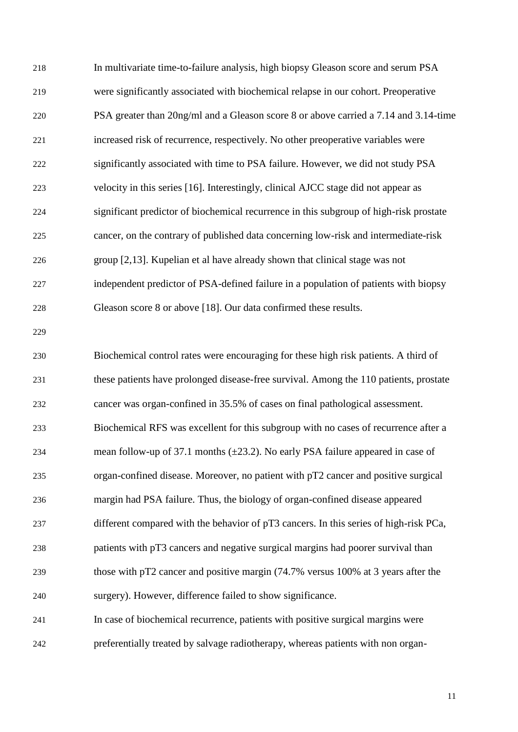In multivariate time-to-failure analysis, high biopsy Gleason score and serum PSA were significantly associated with biochemical relapse in our cohort. Preoperative PSA greater than 20ng/ml and a Gleason score 8 or above carried a 7.14 and 3.14-time increased risk of recurrence, respectively. No other preoperative variables were significantly associated with time to PSA failure. However, we did not study PSA velocity in this series [16]. Interestingly, clinical AJCC stage did not appear as significant predictor of biochemical recurrence in this subgroup of high-risk prostate cancer, on the contrary of published data concerning low-risk and intermediate-risk group [2,13]. Kupelian et al have already shown that clinical stage was not independent predictor of PSA-defined failure in a population of patients with biopsy Gleason score 8 or above [18]. Our data confirmed these results. Biochemical control rates were encouraging for these high risk patients. A third of these patients have prolonged disease-free survival. Among the 110 patients, prostate cancer was organ-confined in 35.5% of cases on final pathological assessment. Biochemical RFS was excellent for this subgroup with no cases of recurrence after a mean follow-up of 37.1 months (±23.2). No early PSA failure appeared in case of organ-confined disease. Moreover, no patient with pT2 cancer and positive surgical margin had PSA failure. Thus, the biology of organ-confined disease appeared different compared with the behavior of pT3 cancers. In this series of high-risk PCa,

- patients with pT3 cancers and negative surgical margins had poorer survival than those with pT2 cancer and positive margin (74.7% versus 100% at 3 years after the surgery). However, difference failed to show significance.
- In case of biochemical recurrence, patients with positive surgical margins were preferentially treated by salvage radiotherapy, whereas patients with non organ-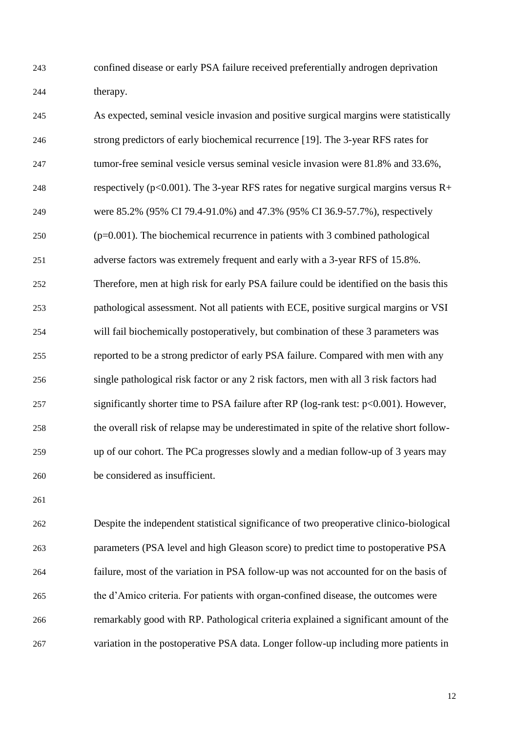confined disease or early PSA failure received preferentially androgen deprivation therapy.

| 245 | As expected, seminal vesicle invasion and positive surgical margins were statistically   |
|-----|------------------------------------------------------------------------------------------|
| 246 | strong predictors of early biochemical recurrence [19]. The 3-year RFS rates for         |
| 247 | tumor-free seminal vesicle versus seminal vesicle invasion were 81.8% and 33.6%,         |
| 248 | respectively ( $p<0.001$ ). The 3-year RFS rates for negative surgical margins versus R+ |
| 249 | were 85.2% (95% CI 79.4-91.0%) and 47.3% (95% CI 36.9-57.7%), respectively               |
| 250 | $(p=0.001)$ . The biochemical recurrence in patients with 3 combined pathological        |
| 251 | adverse factors was extremely frequent and early with a 3-year RFS of 15.8%.             |
| 252 | Therefore, men at high risk for early PSA failure could be identified on the basis this  |
| 253 | pathological assessment. Not all patients with ECE, positive surgical margins or VSI     |
| 254 | will fail biochemically postoperatively, but combination of these 3 parameters was       |
| 255 | reported to be a strong predictor of early PSA failure. Compared with men with any       |
| 256 | single pathological risk factor or any 2 risk factors, men with all 3 risk factors had   |
| 257 | significantly shorter time to PSA failure after RP (log-rank test: p<0.001). However,    |
| 258 | the overall risk of relapse may be underestimated in spite of the relative short follow- |
| 259 | up of our cohort. The PCa progresses slowly and a median follow-up of 3 years may        |
| 260 | be considered as insufficient.                                                           |

 Despite the independent statistical significance of two preoperative clinico-biological parameters (PSA level and high Gleason score) to predict time to postoperative PSA failure, most of the variation in PSA follow-up was not accounted for on the basis of the d'Amico criteria. For patients with organ-confined disease, the outcomes were remarkably good with RP. Pathological criteria explained a significant amount of the variation in the postoperative PSA data. Longer follow-up including more patients in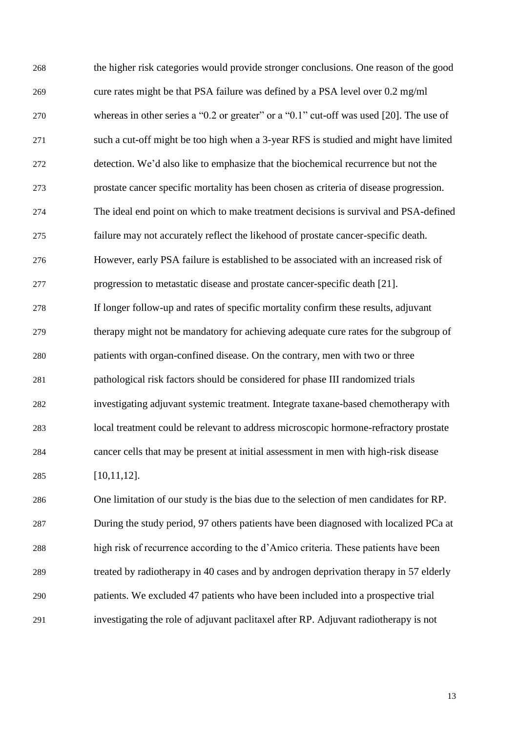the higher risk categories would provide stronger conclusions. One reason of the good cure rates might be that PSA failure was defined by a PSA level over 0.2 mg/ml whereas in other series a "0.2 or greater" or a "0.1" cut-off was used [20]. The use of such a cut-off might be too high when a 3-year RFS is studied and might have limited detection. We'd also like to emphasize that the biochemical recurrence but not the prostate cancer specific mortality has been chosen as criteria of disease progression. The ideal end point on which to make treatment decisions is survival and PSA-defined failure may not accurately reflect the likehood of prostate cancer-specific death. However, early PSA failure is established to be associated with an increased risk of progression to metastatic disease and prostate cancer-specific death [21]. If longer follow-up and rates of specific mortality confirm these results, adjuvant therapy might not be mandatory for achieving adequate cure rates for the subgroup of patients with organ-confined disease. On the contrary, men with two or three pathological risk factors should be considered for phase III randomized trials investigating adjuvant systemic treatment. Integrate taxane-based chemotherapy with local treatment could be relevant to address microscopic hormone-refractory prostate cancer cells that may be present at initial assessment in men with high-risk disease [10,11,12]. One limitation of our study is the bias due to the selection of men candidates for RP. During the study period, 97 others patients have been diagnosed with localized PCa at high risk of recurrence according to the d'Amico criteria. These patients have been treated by radiotherapy in 40 cases and by androgen deprivation therapy in 57 elderly patients. We excluded 47 patients who have been included into a prospective trial investigating the role of adjuvant paclitaxel after RP. Adjuvant radiotherapy is not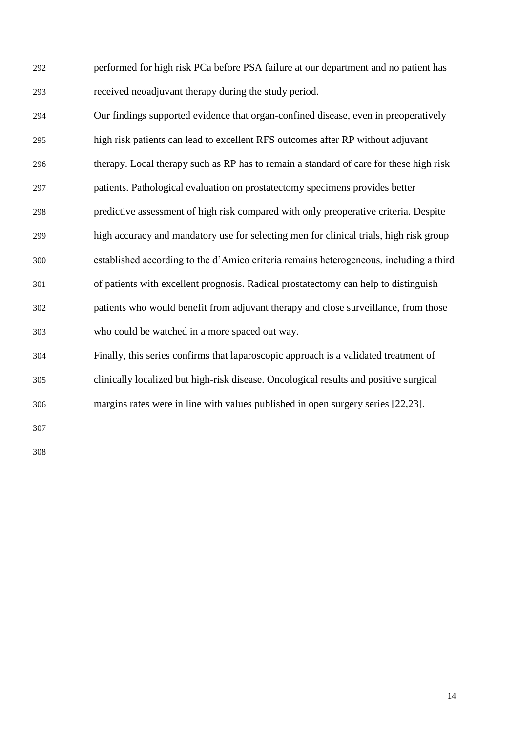performed for high risk PCa before PSA failure at our department and no patient has received neoadjuvant therapy during the study period.

- Our findings supported evidence that organ-confined disease, even in preoperatively high risk patients can lead to excellent RFS outcomes after RP without adjuvant therapy. Local therapy such as RP has to remain a standard of care for these high risk patients. Pathological evaluation on prostatectomy specimens provides better predictive assessment of high risk compared with only preoperative criteria. Despite high accuracy and mandatory use for selecting men for clinical trials, high risk group established according to the d'Amico criteria remains heterogeneous, including a third of patients with excellent prognosis. Radical prostatectomy can help to distinguish patients who would benefit from adjuvant therapy and close surveillance, from those who could be watched in a more spaced out way.
- Finally, this series confirms that laparoscopic approach is a validated treatment of clinically localized but high-risk disease. Oncological results and positive surgical margins rates were in line with values published in open surgery series [22,23].
-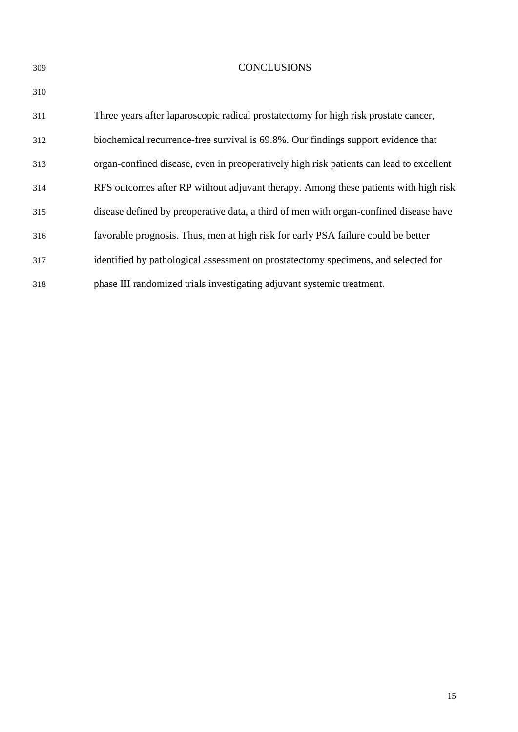#### CONCLUSIONS

| 311 | Three years after laparoscopic radical prostatectomy for high risk prostate cancer,     |
|-----|-----------------------------------------------------------------------------------------|
| 312 | biochemical recurrence-free survival is 69.8%. Our findings support evidence that       |
| 313 | organ-confined disease, even in preoperatively high risk patients can lead to excellent |
| 314 | RFS outcomes after RP without adjuvant therapy. Among these patients with high risk     |
| 315 | disease defined by preoperative data, a third of men with organ-confined disease have   |
| 316 | favorable prognosis. Thus, men at high risk for early PSA failure could be better       |
| 317 | identified by pathological assessment on prostatectomy specimens, and selected for      |
| 318 | phase III randomized trials investigating adjuvant systemic treatment.                  |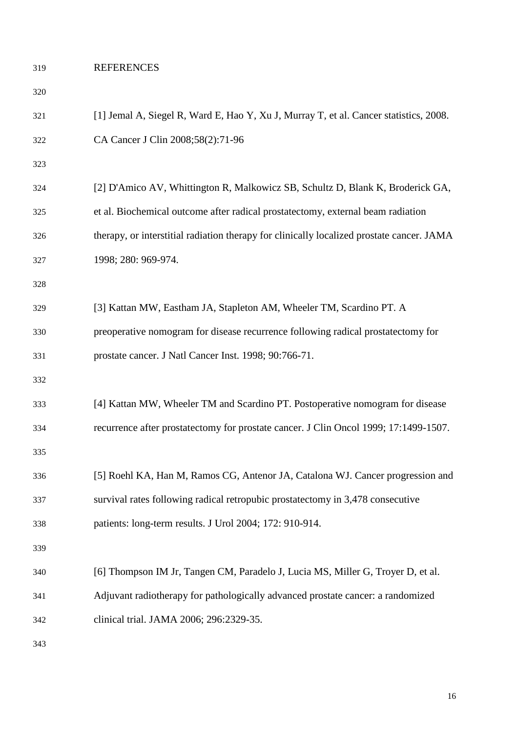### REFERENCES

#### 

| 321 | [1] Jemal A, Siegel R, Ward E, Hao Y, Xu J, Murray T, et al. Cancer statistics, 2008.     |
|-----|-------------------------------------------------------------------------------------------|
| 322 | CA Cancer J Clin 2008;58(2):71-96                                                         |
| 323 |                                                                                           |
| 324 | [2] D'Amico AV, Whittington R, Malkowicz SB, Schultz D, Blank K, Broderick GA,            |
| 325 | et al. Biochemical outcome after radical prostatectomy, external beam radiation           |
| 326 | therapy, or interstitial radiation therapy for clinically localized prostate cancer. JAMA |
| 327 | 1998; 280: 969-974.                                                                       |
| 328 |                                                                                           |
| 329 | [3] Kattan MW, Eastham JA, Stapleton AM, Wheeler TM, Scardino PT. A                       |
| 330 | preoperative nomogram for disease recurrence following radical prostatectomy for          |
| 331 | prostate cancer. J Natl Cancer Inst. 1998; 90:766-71.                                     |
| 332 |                                                                                           |
| 333 | [4] Kattan MW, Wheeler TM and Scardino PT. Postoperative nomogram for disease             |
| 334 | recurrence after prostatectomy for prostate cancer. J Clin Oncol 1999; 17:1499-1507.      |
| 335 |                                                                                           |
| 336 | [5] Roehl KA, Han M, Ramos CG, Antenor JA, Catalona WJ. Cancer progression and            |
| 337 | survival rates following radical retropubic prostatectomy in 3,478 consecutive            |
| 338 | patients: long-term results. J Urol 2004; 172: 910-914.                                   |
| 339 |                                                                                           |
| 340 | [6] Thompson IM Jr, Tangen CM, Paradelo J, Lucia MS, Miller G, Troyer D, et al.           |
| 341 | Adjuvant radiotherapy for pathologically advanced prostate cancer: a randomized           |
| 342 | clinical trial. JAMA 2006; 296:2329-35.                                                   |
|     |                                                                                           |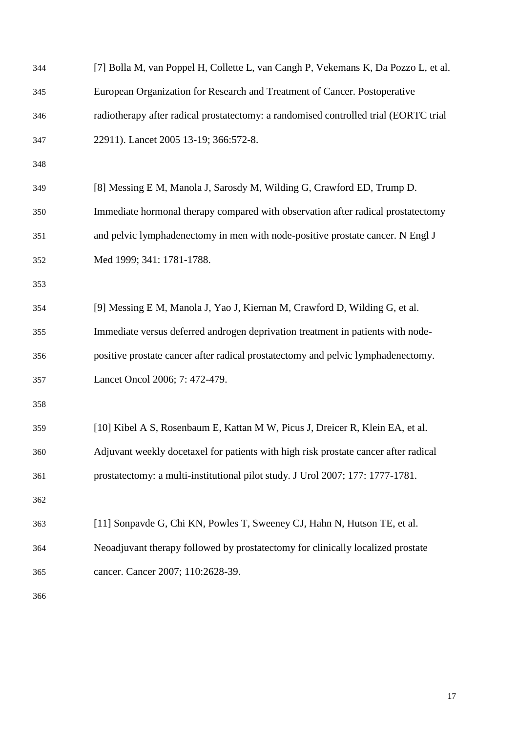| 344 | [7] Bolla M, van Poppel H, Collette L, van Cangh P, Vekemans K, Da Pozzo L, et al.   |
|-----|--------------------------------------------------------------------------------------|
| 345 | European Organization for Research and Treatment of Cancer. Postoperative            |
| 346 | radiotherapy after radical prostatectomy: a randomised controlled trial (EORTC trial |
| 347 | 22911). Lancet 2005 13-19; 366:572-8.                                                |
| 348 |                                                                                      |
| 349 | [8] Messing E M, Manola J, Sarosdy M, Wilding G, Crawford ED, Trump D.               |
| 350 | Immediate hormonal therapy compared with observation after radical prostatectomy     |
| 351 | and pelvic lymphadenectomy in men with node-positive prostate cancer. N Engl J       |
| 352 | Med 1999; 341: 1781-1788.                                                            |
| 353 |                                                                                      |
| 354 | [9] Messing E M, Manola J, Yao J, Kiernan M, Crawford D, Wilding G, et al.           |
| 355 | Immediate versus deferred androgen deprivation treatment in patients with node-      |
| 356 | positive prostate cancer after radical prostatectomy and pelvic lymphadenectomy.     |
| 357 | Lancet Oncol 2006; 7: 472-479.                                                       |
| 358 |                                                                                      |
| 359 | [10] Kibel A S, Rosenbaum E, Kattan M W, Picus J, Dreicer R, Klein EA, et al.        |
| 360 | Adjuvant weekly docetaxel for patients with high risk prostate cancer after radical  |
| 361 | prostatectomy: a multi-institutional pilot study. J Urol 2007; 177: 1777-1781.       |
| 362 |                                                                                      |
| 363 | [11] Sonpavde G, Chi KN, Powles T, Sweeney CJ, Hahn N, Hutson TE, et al.             |
| 364 | Neoadjuvant therapy followed by prostatectomy for clinically localized prostate      |
| 365 | cancer. Cancer 2007; 110:2628-39.                                                    |
| 366 |                                                                                      |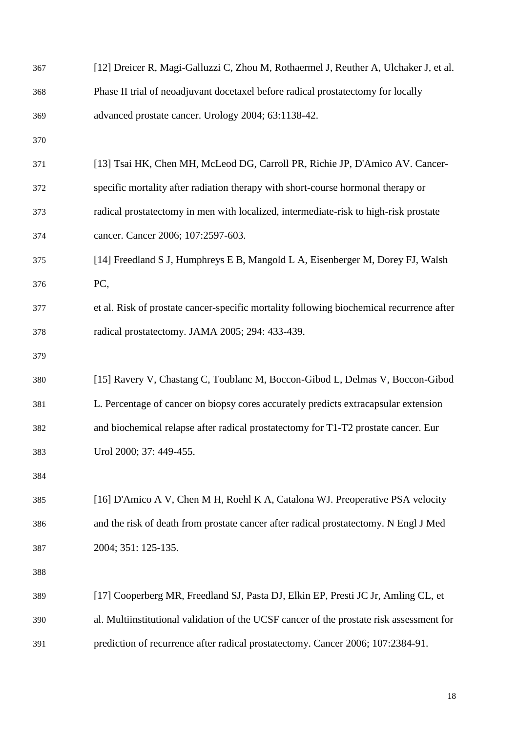| 367 | [12] Dreicer R, Magi-Galluzzi C, Zhou M, Rothaermel J, Reuther A, Ulchaker J, et al.     |
|-----|------------------------------------------------------------------------------------------|
| 368 | Phase II trial of neoadjuvant docetaxel before radical prostatectomy for locally         |
| 369 | advanced prostate cancer. Urology 2004; 63:1138-42.                                      |
| 370 |                                                                                          |
| 371 | [13] Tsai HK, Chen MH, McLeod DG, Carroll PR, Richie JP, D'Amico AV. Cancer-             |
| 372 | specific mortality after radiation therapy with short-course hormonal therapy or         |
| 373 | radical prostatectomy in men with localized, intermediate-risk to high-risk prostate     |
| 374 | cancer. Cancer 2006; 107:2597-603.                                                       |
| 375 | [14] Freedland S J, Humphreys E B, Mangold L A, Eisenberger M, Dorey FJ, Walsh           |
| 376 | PC,                                                                                      |
| 377 | et al. Risk of prostate cancer-specific mortality following biochemical recurrence after |
| 378 | radical prostatectomy. JAMA 2005; 294: 433-439.                                          |
| 379 |                                                                                          |
| 380 | [15] Ravery V, Chastang C, Toublanc M, Boccon-Gibod L, Delmas V, Boccon-Gibod            |
| 381 | L. Percentage of cancer on biopsy cores accurately predicts extracapsular extension      |
| 382 | and biochemical relapse after radical prostatectomy for T1-T2 prostate cancer. Eur       |
| 383 | Urol 2000; 37: 449-455.                                                                  |
| 384 |                                                                                          |
| 385 | [16] D'Amico A V, Chen M H, Roehl K A, Catalona WJ. Preoperative PSA velocity            |
| 386 | and the risk of death from prostate cancer after radical prostatectomy. N Engl J Med     |
| 387 | 2004; 351: 125-135.                                                                      |
| 388 |                                                                                          |
| 389 | [17] Cooperberg MR, Freedland SJ, Pasta DJ, Elkin EP, Presti JC Jr, Amling CL, et        |
| 390 | al. Multiinstitutional validation of the UCSF cancer of the prostate risk assessment for |
| 391 | prediction of recurrence after radical prostatectomy. Cancer 2006; 107:2384-91.          |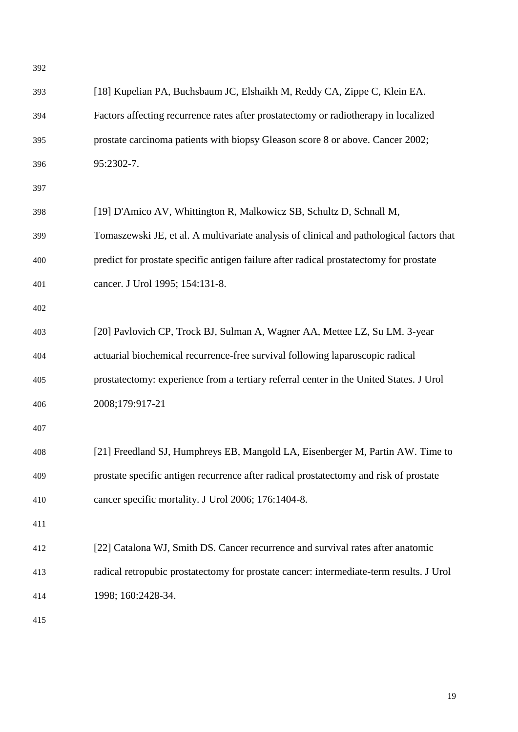| 392 |                                                                                          |
|-----|------------------------------------------------------------------------------------------|
| 393 | [18] Kupelian PA, Buchsbaum JC, Elshaikh M, Reddy CA, Zippe C, Klein EA.                 |
| 394 | Factors affecting recurrence rates after prostatectomy or radiotherapy in localized      |
| 395 | prostate carcinoma patients with biopsy Gleason score 8 or above. Cancer 2002;           |
| 396 | 95:2302-7.                                                                               |
| 397 |                                                                                          |
| 398 | [19] D'Amico AV, Whittington R, Malkowicz SB, Schultz D, Schnall M,                      |
| 399 | Tomaszewski JE, et al. A multivariate analysis of clinical and pathological factors that |
| 400 | predict for prostate specific antigen failure after radical prostatectomy for prostate   |
| 401 | cancer. J Urol 1995; 154:131-8.                                                          |
| 402 |                                                                                          |
| 403 | [20] Pavlovich CP, Trock BJ, Sulman A, Wagner AA, Mettee LZ, Su LM. 3-year               |
| 404 | actuarial biochemical recurrence-free survival following laparoscopic radical            |
| 405 | prostatectomy: experience from a tertiary referral center in the United States. J Urol   |
| 406 | 2008;179:917-21                                                                          |
| 407 |                                                                                          |
| 408 | [21] Freedland SJ, Humphreys EB, Mangold LA, Eisenberger M, Partin AW. Time to           |
| 409 | prostate specific antigen recurrence after radical prostatectomy and risk of prostate    |
| 410 | cancer specific mortality. J Urol 2006; 176:1404-8.                                      |
| 411 |                                                                                          |
| 412 | [22] Catalona WJ, Smith DS. Cancer recurrence and survival rates after anatomic          |
| 413 | radical retropubic prostatectomy for prostate cancer: intermediate-term results. J Urol  |
| 414 | 1998; 160:2428-34.                                                                       |
|     |                                                                                          |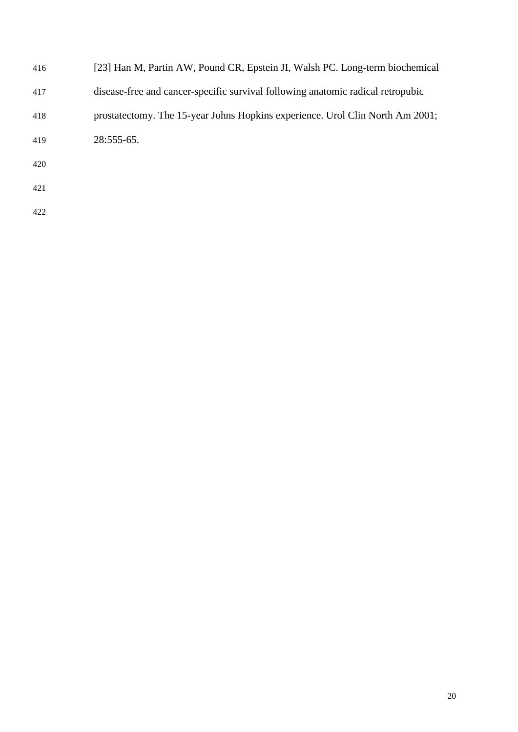| 416 | [23] Han M, Partin AW, Pound CR, Epstein JI, Walsh PC. Long-term biochemical    |
|-----|---------------------------------------------------------------------------------|
| 417 | disease-free and cancer-specific survival following anatomic radical retropubic |
| 418 | prostatectomy. The 15-year Johns Hopkins experience. Urol Clin North Am 2001;   |
| 419 | 28:555-65.                                                                      |
| 420 |                                                                                 |
| 421 |                                                                                 |
| 422 |                                                                                 |